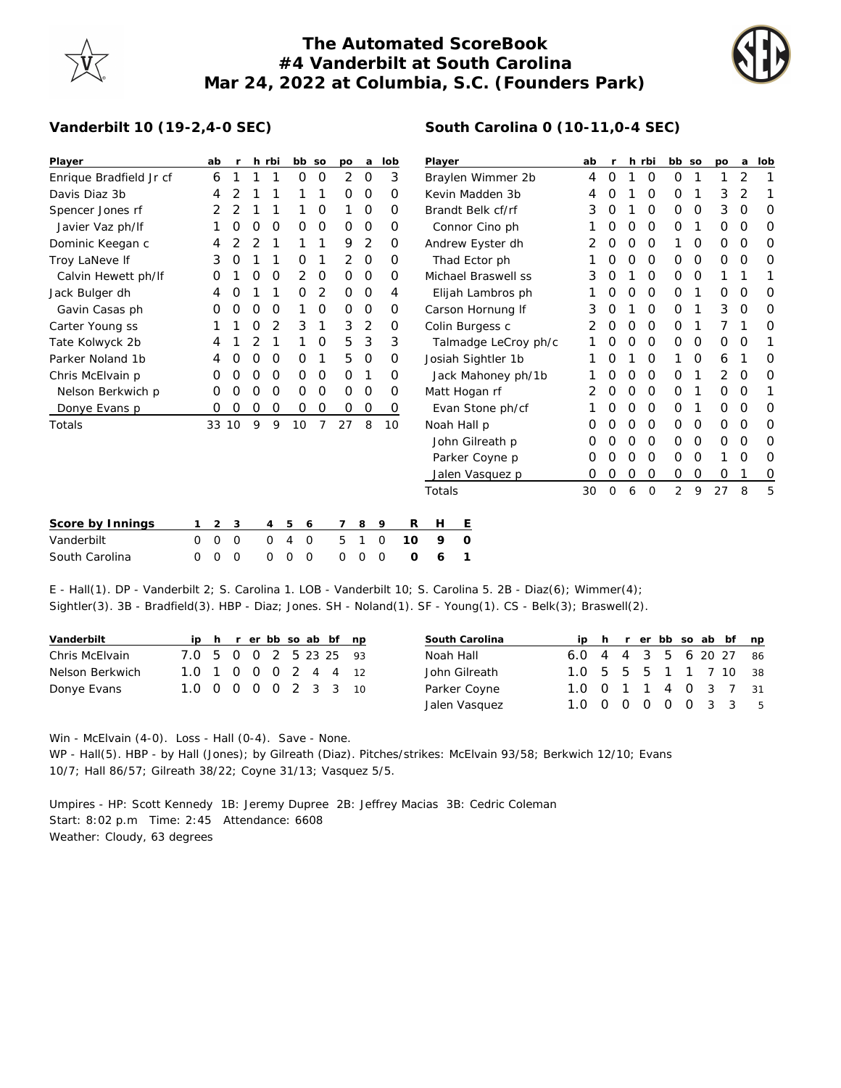## **The Automated ScoreBook #4 Vanderbilt at South Carolina Mar 24, 2022 at Columbia, S.C. (Founders Park)**



## **Vanderbilt 10 (19-2,4-0 SEC)**

| Player                  |          | ab             | $\mathsf{r}$ |   | h rbi          | bb so               |   | po             | a           | lob      |    | Player               |                     |   | ab | $\mathsf{r}$ |          | h rbi          | bb so       |   | po           | a              | lob         |
|-------------------------|----------|----------------|--------------|---|----------------|---------------------|---|----------------|-------------|----------|----|----------------------|---------------------|---|----|--------------|----------|----------------|-------------|---|--------------|----------------|-------------|
| Enrique Bradfield Jr cf |          | 6              |              |   |                | 0                   | 0 | $\overline{2}$ | $\mathbf 0$ | 3        |    | Braylen Wimmer 2b    |                     |   | 4  | O            |          | 0              | O           | 1 | 1            | $\overline{2}$ |             |
| Davis Diaz 3b           |          | 4              | 2            |   |                |                     |   | $\Omega$       | $\circ$     | O        |    | Kevin Madden 3b      |                     |   |    | O            |          | $\Omega$       | O           |   | 3            | 2              |             |
| Spencer Jones rf        |          | 2              | 2            |   |                |                     | 0 |                | $\circ$     | $\Omega$ |    | Brandt Belk cf/rf    |                     | 3 | O  |              | $\Omega$ | 0              | 0           | 3 | $\Omega$     | $\circ$        |             |
| Javier Vaz ph/If        |          |                | 0            | 0 | 0              | 0                   | 0 | 0              | 0           | 0        |    | Connor Cino ph       |                     |   |    | 0            | O        | 0              | 0           | 1 | O            | $\mathbf 0$    | 0           |
| Dominic Keegan c        |          | 4              |              |   |                |                     | 1 | 9              | 2           | 0        |    | Andrew Eyster dh     |                     |   |    |              | O        | 0              | 1           | O | O            | 0              | 0           |
| Troy LaNeve If          |          | 3              | O            |   |                | 0                   |   | $\overline{2}$ | $\mathbf 0$ | 0        |    |                      | Thad Ector ph       |   |    | 0            | 0        | 0              | 0           | 0 | 0            | 0              | 0           |
| Calvin Hewett ph/lf     |          | O              |              | 0 | 0              | 2                   | 0 | $\mathbf 0$    | $\mathbf 0$ | 0        |    |                      | Michael Braswell ss |   | 3  | O            |          | 0              | 0           | 0 | 1            |                |             |
| Jack Bulger dh          |          | 4              | O            |   |                | 0                   | 2 | 0              | 0           | 4        |    |                      | Elijah Lambros ph   |   |    | 0            | 0        | 0              | 0           | 1 | 0            | 0              | 0           |
| Gavin Casas ph          |          | O              | O            | O | O              | 1                   | 0 | $\Omega$       | $\mathbf 0$ | 0        |    | Carson Hornung If    |                     |   |    | O            |          | $\Omega$       | 0           | 1 | 3            | $\Omega$       | $\circ$     |
| Carter Young ss         |          |                |              | Ο | 2              | 3                   | 1 | 3              | 2           | 0        |    | Colin Burgess c      |                     |   | 2  | 0            | $\Omega$ | 0              | 0           | 1 | 7            |                | $\Omega$    |
| Tate Kolwyck 2b         |          |                |              |   |                | 1                   | 0 | 5              | 3           | 3        |    | Talmadge LeCroy ph/c |                     |   |    | O            | $\Omega$ | 0              | 0           | O | $\Omega$     | 1              |             |
| Parker Noland 1b        |          | 4              | Ο            | Ο | O              | 0                   | 1 | 5              | $\mathbf 0$ | 0        |    | Josiah Sightler 1b   |                     |   |    |              | $\Omega$ |                | 0           | 6 |              | 0              |             |
| Chris McElvain p        |          | O              | Ο            | O | O              | 0                   | O | $\Omega$       |             | Ο        |    | Jack Mahoney ph/1b   |                     |   |    |              | O        | $\Omega$       | 0           | 1 | 2            | $\Omega$       | $\circ$     |
| Nelson Berkwich p       |          | 0              | Ο            | O | 0              | 0                   | 0 | $\mathbf 0$    | $\circ$     | 0        |    | Matt Hogan rf        |                     |   |    | O            | 0        | $\mathcal{O}$  | $\mathbf 0$ | 1 | 0            | O              | 1           |
| Donye Evans p           |          | 0              | 0            | O | O              | 0                   | 0 | 0              | $\mathbf 0$ | 0        |    |                      | Evan Stone ph/cf    |   |    | O            | $\Omega$ | 0              | 0           | 1 | $\mathbf{O}$ | $\Omega$       | $\circ$     |
| Totals                  |          | 33 10          |              | 9 | 9              | 10                  | 7 | 27             | 8           | 10       |    |                      | Noah Hall p         |   | Ο  | O            | $\Omega$ | $\Omega$       | 0           | 0 | 0            | O              | 0           |
|                         |          |                |              |   |                |                     |   |                |             |          |    |                      | John Gilreath p     |   | Ο  | O            | $\Omega$ | $\Omega$       | 0           | 0 | 0            | $\Omega$       | 0           |
|                         |          |                |              |   |                |                     |   |                |             |          |    | Parker Coyne p       |                     |   | O  | O            | $\Omega$ | $\Omega$       | 0           | 0 | 1            | O              | 0           |
|                         |          |                |              |   |                |                     |   |                |             |          |    |                      | Jalen Vasquez p     |   | O  | 0            | 0        | 0              | $\mathbf 0$ | 0 | O            |                | $\mathbf 0$ |
|                         |          |                |              |   |                |                     |   |                |             |          |    | Totals               |                     |   | 30 | 0            | 6        | $\overline{0}$ | 2           | 9 | 27           | 8              | 5           |
| Score by Innings        |          | $\overline{c}$ | 3            |   | $\overline{4}$ | 5<br>6              |   | $\overline{7}$ | 8           | 9        | R  | H                    | Ε                   |   |    |              |          |                |             |   |              |                |             |
| Vanderbilt              | $\Omega$ | $\circ$        | $\circ$      |   | $\mathbf{0}$   | 4<br>$\overline{0}$ |   | 5              |             | $\circ$  | 10 | 9                    | $\circ$             |   |    |              |          |                |             |   |              |                |             |
| South Carolina          | $\Omega$ | O              | 0            |   | $\Omega$       | 0<br>0              |   | 0              | $\Omega$    | $\circ$  | O  | 6                    |                     |   |    |              |          |                |             |   |              |                |             |

E - Hall(1). DP - Vanderbilt 2; S. Carolina 1. LOB - Vanderbilt 10; S. Carolina 5. 2B - Diaz(6); Wimmer(4); Sightler(3). 3B - Bradfield(3). HBP - Diaz; Jones. SH - Noland(1). SF - Young(1). CS - Belk(3); Braswell(2).

| Vanderbilt      |                        |  |  |  | ip h r er bb so ab bf np |  | South Carolina |                        |  |  |  | ip h r er bb so ab bf np |
|-----------------|------------------------|--|--|--|--------------------------|--|----------------|------------------------|--|--|--|--------------------------|
| Chris McElvain  | 7.0 5 0 0 2 5 23 25 93 |  |  |  |                          |  | Noah Hall      | 6.0 4 4 3 5 6 20 27 86 |  |  |  |                          |
| Nelson Berkwich | 1.0 1 0 0 0 2 4 4 12   |  |  |  |                          |  | John Gilreath  | 1.0 5 5 5 1 1 7 10 38  |  |  |  |                          |
| Donye Evans     | 1.0 0 0 0 0 2 3 3 10   |  |  |  |                          |  | Parker Coyne   | 1.0 0 1 1 4 0 3 7 31   |  |  |  |                          |
|                 |                        |  |  |  |                          |  | Jalen Vasquez  | 1.0 0 0 0 0 0 3 3 5    |  |  |  |                          |

Win - McElvain (4-0). Loss - Hall (0-4). Save - None. WP - Hall(5). HBP - by Hall (Jones); by Gilreath (Diaz). Pitches/strikes: McElvain 93/58; Berkwich 12/10; Evans 10/7; Hall 86/57; Gilreath 38/22; Coyne 31/13; Vasquez 5/5.

Umpires - HP: Scott Kennedy 1B: Jeremy Dupree 2B: Jeffrey Macias 3B: Cedric Coleman Start: 8:02 p.m Time: 2:45 Attendance: 6608 Weather: Cloudy, 63 degrees

## **South Carolina 0 (10-11,0-4 SEC)**